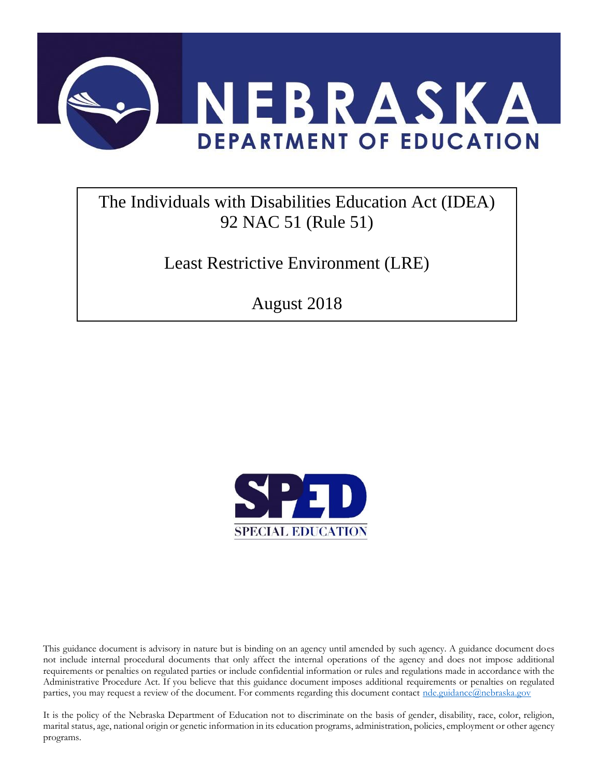

# The Individuals with Disabilities Education Act (IDEA) 92 NAC 51 (Rule 51)

Least Restrictive Environment (LRE)

August 2018



This guidance document is advisory in nature but is binding on an agency until amended by such agency. A guidance document does not include internal procedural documents that only affect the internal operations of the agency and does not impose additional requirements or penalties on regulated parties or include confidential information or rules and regulations made in accordance with the Administrative Procedure Act. If you believe that this guidance document imposes additional requirements or penalties on regulated parties, you may request a review of the document. For comments regarding this document contact [nde.guidance@nebraska.gov](mailto:nde.guidance@nebraska.gov)

It is the policy of the Nebraska Department of Education not to discriminate on the basis of gender, disability, race, color, religion, marital status, age, national origin or genetic information in its education programs, administration, policies, employment or other agency programs.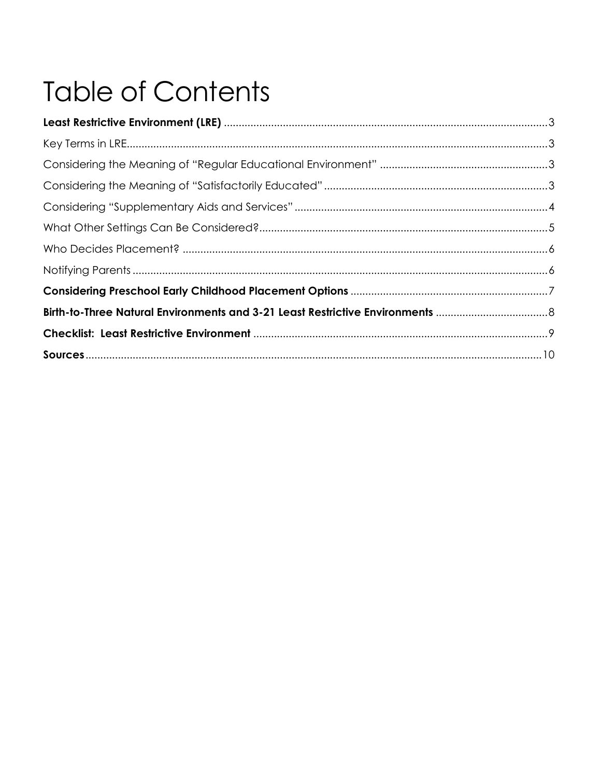# **Table of Contents**

| Birth-to-Three Natural Environments and 3-21 Least Restrictive Environments |  |
|-----------------------------------------------------------------------------|--|
|                                                                             |  |
|                                                                             |  |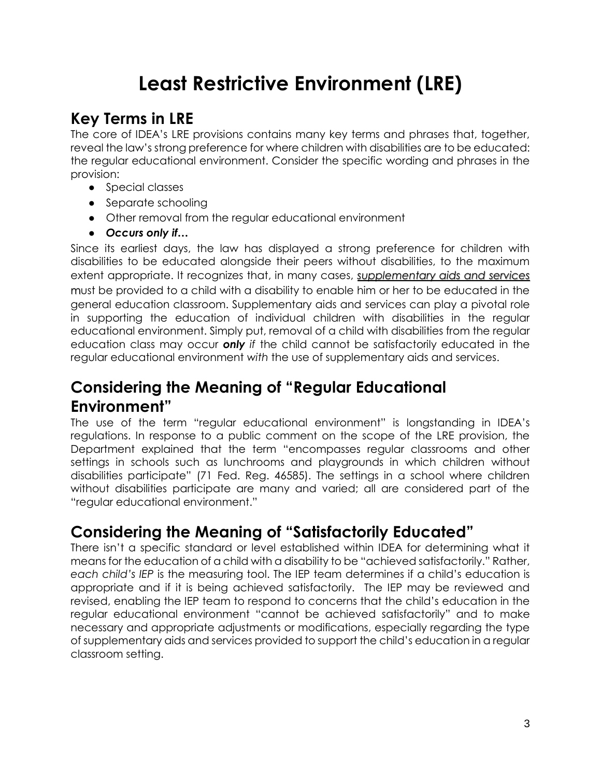# **Least Restrictive Environment (LRE)**

# **Key Terms in LRE**

The core of IDEA's LRE provisions contains many key terms and phrases that, together, reveal the law's strong preference for where children with disabilities are to be educated: the regular educational environment. Consider the specific wording and phrases in the provision:

- Special classes
- Separate schooling
- Other removal from the regular educational environment
- *Occurs only if…*

Since its earliest days, the law has displayed a strong preference for children with disabilities to be educated alongside their peers without disabilities, to the maximum extent appropriate. It recognizes that, in many cases[,](http://www.parentcenterhub.org/iep-supplementary/) *[supplementary aids and services](http://www.parentcenterhub.org/iep-supplementary/)* must be provided to a child with a disability to enable him or her to be educated in the general education classroom. Supplementary aids and services can play a pivotal role in supporting the education of individual children with disabilities in the regular educational environment. Simply put, removal of a child with disabilities from the regular education class may occur *only if* the child cannot be satisfactorily educated in the regular educational environment *with* the use of supplementary aids and services.

#### **Considering the Meaning of "Regular Educational Environment"**

The use of the term "regular educational environment" is longstanding in IDEA's regulations. In response to a public comment on the scope of the LRE provision, the Department explained that the term "encompasses regular classrooms and other settings in schools such as lunchrooms and playgrounds in which children without disabilities participate" (71 Fed. Reg. 46585). The settings in a school where children without disabilities participate are many and varied; all are considered part of the "regular educational environment."

#### **Considering the Meaning of "Satisfactorily Educated"**

There isn't a specific standard or level established within IDEA for determining what it means for the education of a child with a disability to be "achieved satisfactorily." Rather, *each child's IEP* is the measuring tool. The IEP team determines if a child's education is appropriate and if it is being achieved satisfactorily. The IEP may be reviewed and revised, enabling the IEP team to respond to concerns that the child's education in the regular educational environment "cannot be achieved satisfactorily" and to make necessary and appropriate adjustments or modifications, especially regarding the type of supplementary aids and services provided to support the child's education in a regular classroom setting.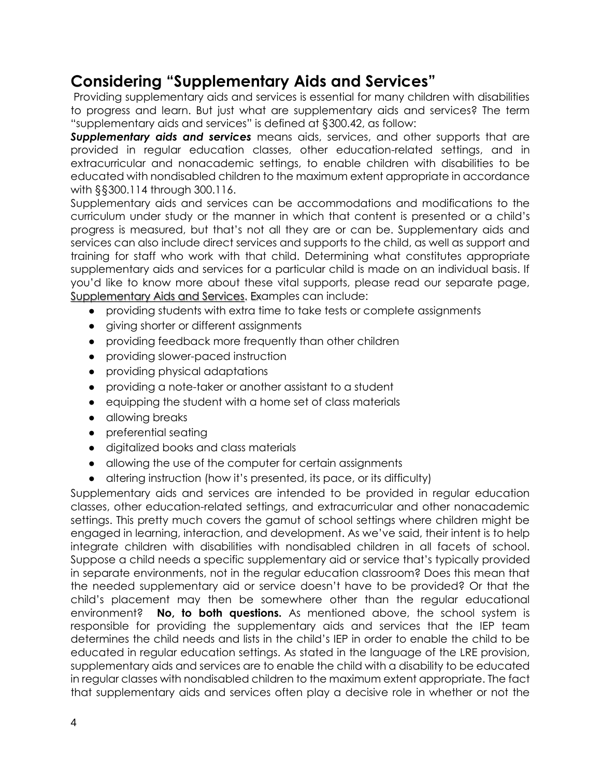#### **Considering "Supplementary Aids and Services"**

Providing supplementary aids and services is essential for many children with disabilities to progress and learn. But just what are supplementary aids and services? The term "supplementary aids and services" is defined at §300.42, as follow:

**Supplementary aids and services** means aids, services, and other supports that are provided in regular education classes, other education-related settings, and in extracurricular and nonacademic settings, to enable children with disabilities to be educated with nondisabled children to the maximum extent appropriate in accordance with §§300.114 through 300.116.

Supplementary aids and services can be accommodations and modifications to the curriculum under study or the manner in which that content is presented or a child's progress is measured, but that's not all they are or can be. Supplementary aids and services can also include direct services and supports to the child, as well as support and training for staff who work with that child. Determining what constitutes appropriate supplementary aids and services for a particular child is made on an individual basis. If you'd like to know more about these vital supports, please read our separate page[,](http://www.parentcenterhub.org/iep-supplementary/) [Supplementary Aids and Services.](http://www.parentcenterhub.org/iep-supplementary/) Examples can include:

- providing students with extra time to take tests or complete assignments
- giving shorter or different assignments
- providing feedback more frequently than other children
- providing slower-paced instruction
- providing physical adaptations
- providing a note-taker or another assistant to a student
- equipping the student with a home set of class materials
- allowing breaks
- preferential seating
- digitalized books and class materials
- allowing the use of the computer for certain assignments
- altering instruction (how it's presented, its pace, or its difficulty)

Supplementary aids and services are intended to be provided in regular education classes, other education-related settings, and extracurricular and other nonacademic settings. This pretty much covers the gamut of school settings where children might be engaged in learning, interaction, and development. As we've said, their intent is to help integrate children with disabilities with nondisabled children in all facets of school. Suppose a child needs a specific supplementary aid or service that's typically provided in separate environments, not in the regular education classroom? Does this mean that the needed supplementary aid or service doesn't have to be provided? Or that the child's placement may then be somewhere other than the regular educational environment? **No, to both questions.** As mentioned above, the school system is responsible for providing the supplementary aids and services that the IEP team determines the child needs and lists in the child's IEP in order to enable the child to be educated in regular education settings. As stated in the language of the LRE provision, supplementary aids and services are to enable the child with a disability to be educated in regular classes with nondisabled children to the maximum extent appropriate. The fact that supplementary aids and services often play a decisive role in whether or not the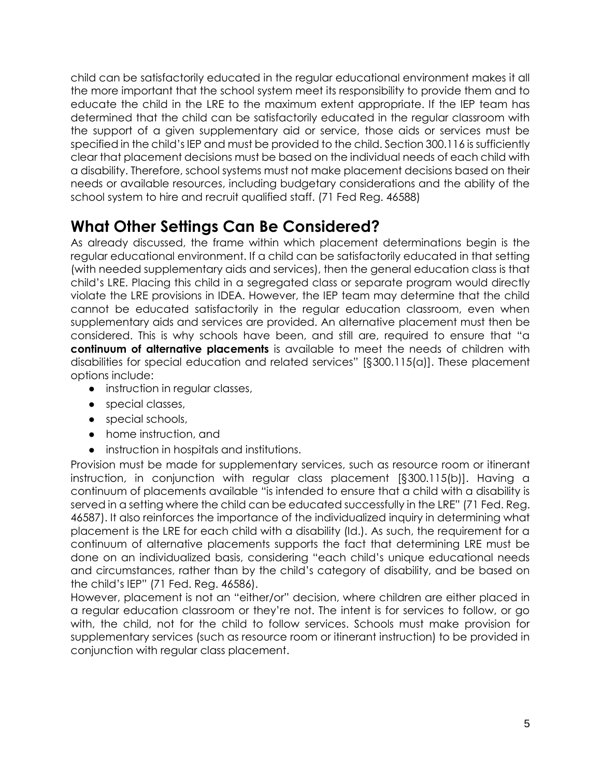child can be satisfactorily educated in the regular educational environment makes it all the more important that the school system meet its responsibility to provide them and to educate the child in the LRE to the maximum extent appropriate. If the IEP team has determined that the child can be satisfactorily educated in the regular classroom with the support of a given supplementary aid or service, those aids or services must be specified in the child's IEP and must be provided to the child. Section 300.116 is sufficiently clear that placement decisions must be based on the individual needs of each child with a disability. Therefore, school systems must not make placement decisions based on their needs or available resources, including budgetary considerations and the ability of the school system to hire and recruit qualified staff. (71 Fed Reg. 46588)

### **What Other Settings Can Be Considered?**

As already discussed, the frame within which placement determinations begin is the regular educational environment. If a child can be satisfactorily educated in that setting (with needed supplementary aids and services), then the general education class is that child's LRE. Placing this child in a segregated class or separate program would directly violate the LRE provisions in IDEA. However, the IEP team may determine that the child cannot be educated satisfactorily in the regular education classroom, even when supplementary aids and services are provided. An alternative placement must then be considered. This is why schools have been, and still are, required to ensure that "a **continuum of alternative placements** is available to meet the needs of children with disabilities for special education and related services" [§300.115(a)]. These placement options include:

- instruction in regular classes,
- special classes,
- special schools,
- home instruction, and
- instruction in hospitals and institutions.

Provision must be made for supplementary services, such as resource room or itinerant instruction, in conjunction with regular class placement [§300.115(b)]. Having a continuum of placements available "is intended to ensure that a child with a disability is served in a setting where the child can be educated successfully in the LRE" (71 Fed. Reg. 46587). It also reinforces the importance of the individualized inquiry in determining what placement is the LRE for each child with a disability (Id.). As such, the requirement for a continuum of alternative placements supports the fact that determining LRE must be done on an individualized basis, considering "each child's unique educational needs and circumstances, rather than by the child's category of disability, and be based on the child's IEP" (71 Fed. Reg. 46586).

However, placement is not an "either/or" decision, where children are either placed in a regular education classroom or they're not. The intent is for services to follow, or go with, the child, not for the child to follow services. Schools must make provision for supplementary services (such as resource room or itinerant instruction) to be provided in conjunction with regular class placement.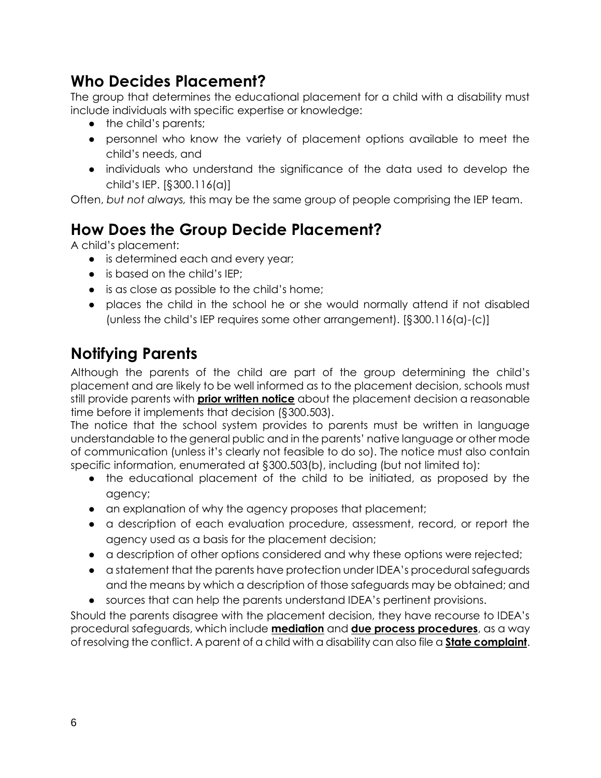#### **Who Decides Placement?**

The group that determines the educational placement for a child with a disability must include individuals with specific expertise or knowledge:

- the child's parents;
- personnel who know the variety of placement options available to meet the child's needs, and
- individuals who understand the significance of the data used to develop the child's IEP. [§300.116(a)]

Often, *but not always,* this may be the same group of people comprising the IEP team.

# **How Does the Group Decide Placement?**

A child's placement:

- is determined each and every year;
- is based on the child's IEP:
- is as close as possible to the child's home;
- places the child in the school he or she would normally attend if not disabled (unless the child's IEP requires some other arrangement). [§300.116(a)-(c)]

# **Notifying Parents**

Although the parents of the child are part of the group determining the child's placement and are likely to be well informed as to the placement decision, schools must still provide parents with **[prior written notice](http://www.parentcenterhub.org/notice-prior/)** about the placement decision a reasonable time before it implements that decision (§300.503).

The notice that the school system provides to parents must be written in language understandable to the general public and in the parents' native language or other mode of communication (unless it's clearly not feasible to do so). The notice must also contain specific information, enumerated at §300.503(b), including (but not limited to):

- the educational placement of the child to be initiated, as proposed by the agency;
- an explanation of why the agency proposes that placement;
- a description of each evaluation procedure, assessment, record, or report the agency used as a basis for the placement decision;
- a description of other options considered and why these options were rejected;
- a statement that the parents have protection under IDEA's procedural safeguards and the means by which a description of those safeguards may be obtained; and
- sources that can help the parents understand IDEA's pertinent provisions.

Should the parents disagree with the placement decision, they have recourse to IDEA's procedural safeguards, which includ[e](http://www.parentcenterhub.org/repository/mediation/) **[mediation](http://www.parentcenterhub.org/repository/mediation/)** and **[due process procedures](http://www.parentcenterhub.org/dueprocess/)**, as a way of resolving the conflict. A parent of a child with a disability can also file [a](http://www.parentcenterhub.org/statecomplaint/) **[State complaint](http://www.parentcenterhub.org/statecomplaint/)**.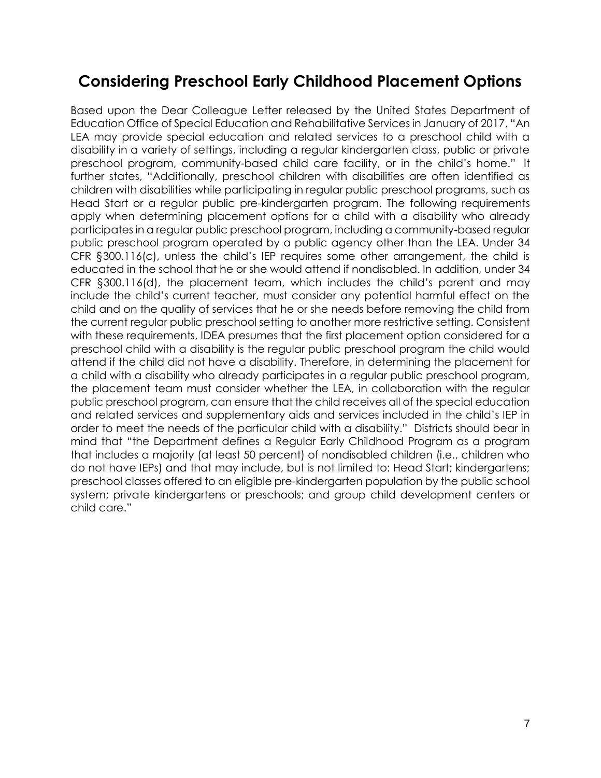#### **Considering Preschool Early Childhood Placement Options**

Based upon the Dear Colleague Letter released by the United States Department of Education Office of Special Education and Rehabilitative Services in January of 2017, "An LEA may provide special education and related services to a preschool child with a disability in a variety of settings, including a regular kindergarten class, public or private preschool program, community-based child care facility, or in the child's home." It further states, "Additionally, preschool children with disabilities are often identified as children with disabilities while participating in regular public preschool programs, such as Head Start or a regular public pre-kindergarten program. The following requirements apply when determining placement options for a child with a disability who already participates in a regular public preschool program, including a community-based regular public preschool program operated by a public agency other than the LEA. Under 34 CFR §300.116(c), unless the child's IEP requires some other arrangement, the child is educated in the school that he or she would attend if nondisabled. In addition, under 34 CFR §300.116(d), the placement team, which includes the child's parent and may include the child's current teacher, must consider any potential harmful effect on the child and on the quality of services that he or she needs before removing the child from the current regular public preschool setting to another more restrictive setting. Consistent with these requirements, IDEA presumes that the first placement option considered for a preschool child with a disability is the regular public preschool program the child would attend if the child did not have a disability. Therefore, in determining the placement for a child with a disability who already participates in a regular public preschool program, the placement team must consider whether the LEA, in collaboration with the regular public preschool program, can ensure that the child receives all of the special education and related services and supplementary aids and services included in the child's IEP in order to meet the needs of the particular child with a disability." Districts should bear in mind that "the Department defines a Regular Early Childhood Program as a program that includes a majority (at least 50 percent) of nondisabled children (i.e., children who do not have IEPs) and that may include, but is not limited to: Head Start; kindergartens; preschool classes offered to an eligible pre-kindergarten population by the public school system; private kindergartens or preschools; and group child development centers or child care."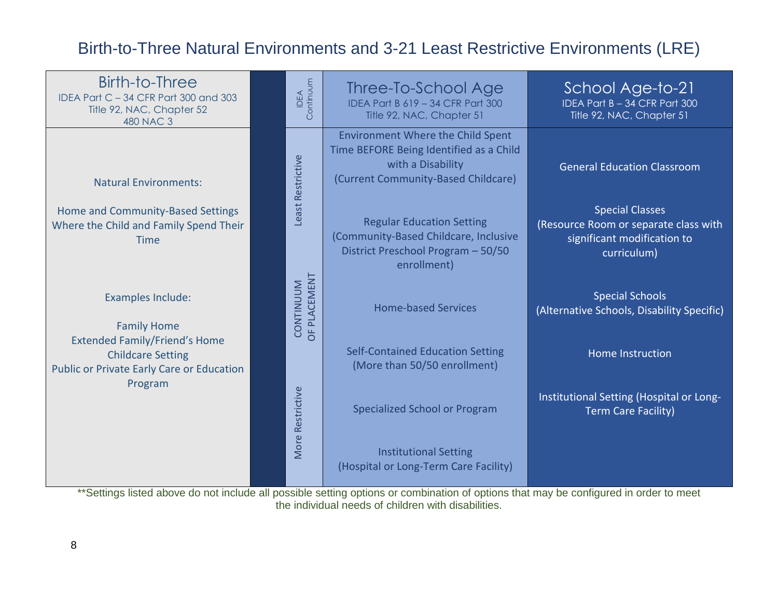# Birth-to-Three Natural Environments and 3-21 Least Restrictive Environments (LRE)



\*\*Settings listed above do not include all possible setting options or combination of options that may be configured in order to meet the individual needs of children with disabilities.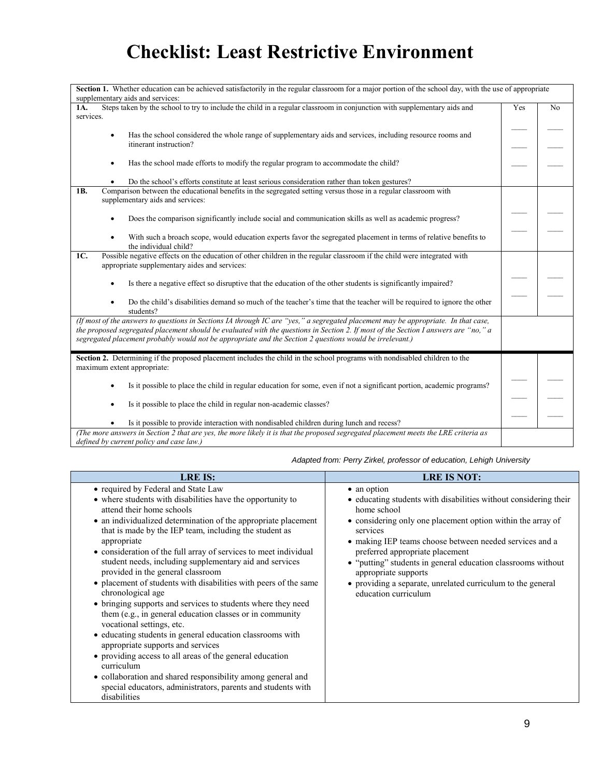# **Checklist: Least Restrictive Environment**

| Section 1. Whether education can be achieved satisfactorily in the regular classroom for a major portion of the school day, with the use of appropriate                                                                                                                                                                                                                               |     |                |
|---------------------------------------------------------------------------------------------------------------------------------------------------------------------------------------------------------------------------------------------------------------------------------------------------------------------------------------------------------------------------------------|-----|----------------|
| supplementary aids and services:                                                                                                                                                                                                                                                                                                                                                      |     |                |
| Steps taken by the school to try to include the child in a regular classroom in conjunction with supplementary aids and<br>1A.<br>services.                                                                                                                                                                                                                                           | Yes | N <sub>o</sub> |
| Has the school considered the whole range of supplementary aids and services, including resource rooms and<br>$\bullet$<br>itinerant instruction?                                                                                                                                                                                                                                     |     |                |
| Has the school made efforts to modify the regular program to accommodate the child?<br>$\bullet$                                                                                                                                                                                                                                                                                      |     |                |
| Do the school's efforts constitute at least serious consideration rather than token gestures?                                                                                                                                                                                                                                                                                         |     |                |
| Comparison between the educational benefits in the segregated setting versus those in a regular classroom with<br>1 <sub>B</sub><br>supplementary aids and services:                                                                                                                                                                                                                  |     |                |
| Does the comparison significantly include social and communication skills as well as academic progress?<br>$\bullet$                                                                                                                                                                                                                                                                  |     |                |
| With such a broach scope, would education experts favor the segregated placement in terms of relative benefits to<br>$\bullet$<br>the individual child?                                                                                                                                                                                                                               |     |                |
| Possible negative effects on the education of other children in the regular classroom if the child were integrated with<br>1C.<br>appropriate supplementary aides and services:                                                                                                                                                                                                       |     |                |
| Is there a negative effect so disruptive that the education of the other students is significantly impaired?<br>$\bullet$                                                                                                                                                                                                                                                             |     |                |
| Do the child's disabilities demand so much of the teacher's time that the teacher will be required to ignore the other<br>$\bullet$<br>students?                                                                                                                                                                                                                                      |     |                |
| (If most of the answers to questions in Sections IA through IC are "yes," a segregated placement may be appropriate. In that case,<br>the proposed segregated placement should be evaluated with the questions in Section 2. If most of the Section I answers are "no," a<br>segregated placement probably would not be appropriate and the Section 2 questions would be irrelevant.) |     |                |
| Section 2. Determining if the proposed placement includes the child in the school programs with nondisabled children to the<br>maximum extent appropriate:                                                                                                                                                                                                                            |     |                |
| Is it possible to place the child in regular education for some, even if not a significant portion, academic programs?<br>$\bullet$                                                                                                                                                                                                                                                   |     |                |
| Is it possible to place the child in regular non-academic classes?<br>$\bullet$                                                                                                                                                                                                                                                                                                       |     |                |
| Is it possible to provide interaction with nondisabled children during lunch and recess?                                                                                                                                                                                                                                                                                              |     |                |
| (The more answers in Section 2 that are yes, the more likely it is that the proposed segregated placement meets the LRE criteria as<br>defined by current policy and case law.)                                                                                                                                                                                                       |     |                |

| <b>LRE IS:</b>                                                                                                                                                                                                                                                                                                                                                                                                                                                                                                                                                                                                                                                                                                                                                                                                                                                                                                                                                                                                             | <b>LRE IS NOT:</b>                                                                                                                                                                                                                                                                                                                                                                                                                                     |
|----------------------------------------------------------------------------------------------------------------------------------------------------------------------------------------------------------------------------------------------------------------------------------------------------------------------------------------------------------------------------------------------------------------------------------------------------------------------------------------------------------------------------------------------------------------------------------------------------------------------------------------------------------------------------------------------------------------------------------------------------------------------------------------------------------------------------------------------------------------------------------------------------------------------------------------------------------------------------------------------------------------------------|--------------------------------------------------------------------------------------------------------------------------------------------------------------------------------------------------------------------------------------------------------------------------------------------------------------------------------------------------------------------------------------------------------------------------------------------------------|
| • required by Federal and State Law<br>• where students with disabilities have the opportunity to<br>attend their home schools<br>• an individualized determination of the appropriate placement<br>that is made by the IEP team, including the student as<br>appropriate<br>• consideration of the full array of services to meet individual<br>student needs, including supplementary aid and services<br>provided in the general classroom<br>• placement of students with disabilities with peers of the same<br>chronological age<br>• bringing supports and services to students where they need<br>them (e.g., in general education classes or in community<br>vocational settings, etc.<br>• educating students in general education classrooms with<br>appropriate supports and services<br>• providing access to all areas of the general education<br>curriculum<br>• collaboration and shared responsibility among general and<br>special educators, administrators, parents and students with<br>disabilities | • an option<br>• educating students with disabilities without considering their<br>home school<br>• considering only one placement option within the array of<br>services<br>• making IEP teams choose between needed services and a<br>preferred appropriate placement<br>• "putting" students in general education classrooms without<br>appropriate supports<br>• providing a separate, unrelated curriculum to the general<br>education curriculum |

*Adapted from: Perry Zirkel, professor of education, Lehigh University*